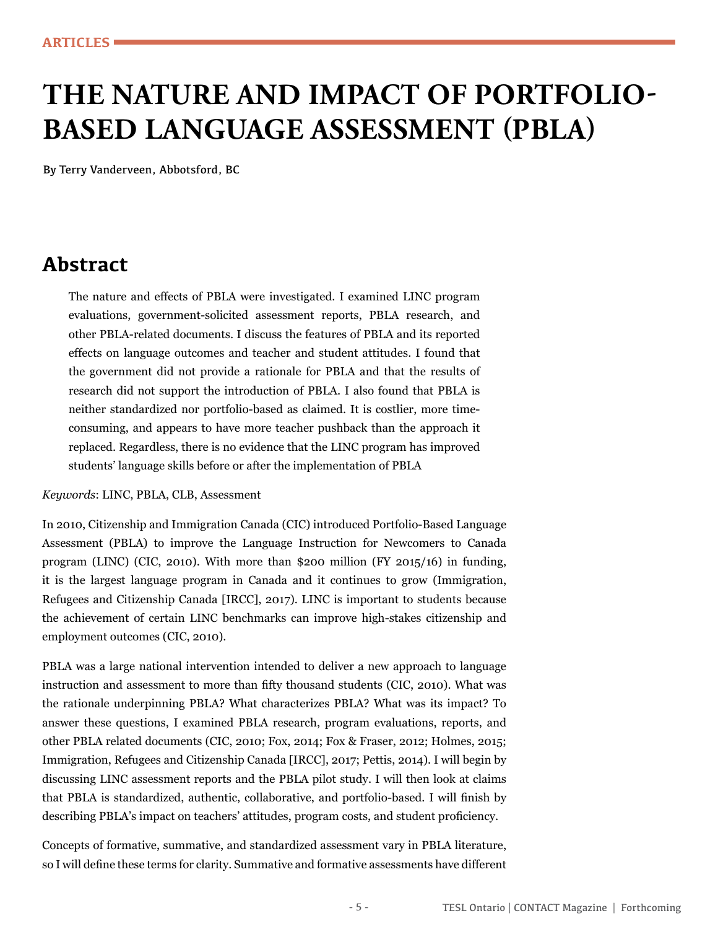# **THE NATURE AND IMPACT OF PORTFOLIO-BASED LANGUAGE ASSESSMENT (PBLA)**

By Terry Vanderveen, Abbotsford, BC

# **Abstract**

The nature and effects of PBLA were investigated. I examined LINC program evaluations, government-solicited assessment reports, PBLA research, and other PBLA-related documents. I discuss the features of PBLA and its reported effects on language outcomes and teacher and student attitudes. I found that the government did not provide a rationale for PBLA and that the results of research did not support the introduction of PBLA. I also found that PBLA is neither standardized nor portfolio-based as claimed. It is costlier, more timeconsuming, and appears to have more teacher pushback than the approach it replaced. Regardless, there is no evidence that the LINC program has improved students' language skills before or after the implementation of PBLA

*Keywords*: LINC, PBLA, CLB, Assessment

In 2010, Citizenship and Immigration Canada (CIC) introduced Portfolio-Based Language Assessment (PBLA) to improve the Language Instruction for Newcomers to Canada program (LINC) (CIC, 2010). With more than \$200 million (FY 2015/16) in funding, it is the largest language program in Canada and it continues to grow (Immigration, Refugees and Citizenship Canada [IRCC], 2017). LINC is important to students because the achievement of certain LINC benchmarks can improve high-stakes citizenship and employment outcomes (CIC, 2010).

PBLA was a large national intervention intended to deliver a new approach to language instruction and assessment to more than fifty thousand students (CIC, 2010). What was the rationale underpinning PBLA? What characterizes PBLA? What was its impact? To answer these questions, I examined PBLA research, program evaluations, reports, and other PBLA related documents (CIC, 2010; Fox, 2014; Fox & Fraser, 2012; Holmes, 2015; Immigration, Refugees and Citizenship Canada [IRCC], 2017; Pettis, 2014). I will begin by discussing LINC assessment reports and the PBLA pilot study. I will then look at claims that PBLA is standardized, authentic, collaborative, and portfolio-based. I will finish by describing PBLA's impact on teachers' attitudes, program costs, and student proficiency.

Concepts of formative, summative, and standardized assessment vary in PBLA literature, so I will define these terms for clarity. Summative and formative assessments have different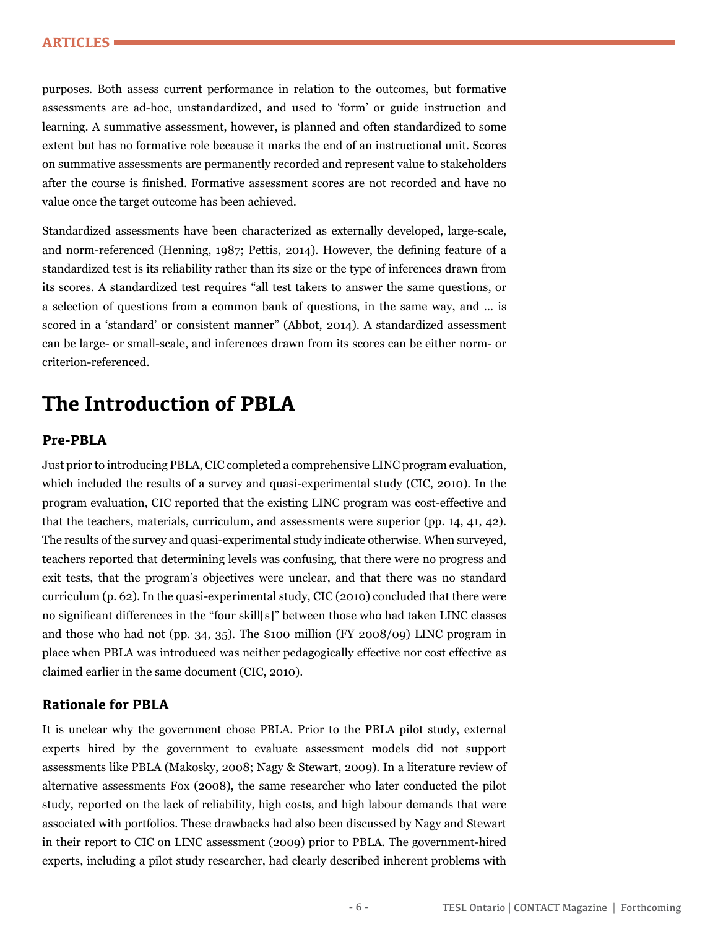purposes. Both assess current performance in relation to the outcomes, but formative assessments are ad-hoc, unstandardized, and used to 'form' or guide instruction and learning. A summative assessment, however, is planned and often standardized to some extent but has no formative role because it marks the end of an instructional unit. Scores on summative assessments are permanently recorded and represent value to stakeholders after the course is finished. Formative assessment scores are not recorded and have no value once the target outcome has been achieved.

Standardized assessments have been characterized as externally developed, large-scale, and norm-referenced (Henning, 1987; Pettis, 2014). However, the defining feature of a standardized test is its reliability rather than its size or the type of inferences drawn from its scores. A standardized test requires "all test takers to answer the same questions, or a selection of questions from a common bank of questions, in the same way, and … is scored in a 'standard' or consistent manner" (Abbot, 2014). A standardized assessment can be large- or small-scale, and inferences drawn from its scores can be either norm- or criterion-referenced.

# **The Introduction of PBLA**

#### **Pre-PBLA**

Just prior to introducing PBLA, CIC completed a comprehensive LINC program evaluation, which included the results of a survey and quasi-experimental study (CIC, 2010). In the program evaluation, CIC reported that the existing LINC program was cost-effective and that the teachers, materials, curriculum, and assessments were superior (pp. 14, 41, 42). The results of the survey and quasi-experimental study indicate otherwise. When surveyed, teachers reported that determining levels was confusing, that there were no progress and exit tests, that the program's objectives were unclear, and that there was no standard curriculum (p. 62). In the quasi-experimental study, CIC (2010) concluded that there were no significant differences in the "four skill[s]" between those who had taken LINC classes and those who had not (pp. 34, 35). The \$100 million (FY 2008/09) LINC program in place when PBLA was introduced was neither pedagogically effective nor cost effective as claimed earlier in the same document (CIC, 2010).

#### **Rationale for PBLA**

It is unclear why the government chose PBLA. Prior to the PBLA pilot study, external experts hired by the government to evaluate assessment models did not support assessments like PBLA (Makosky, 2008; Nagy & Stewart, 2009). In a literature review of alternative assessments Fox (2008), the same researcher who later conducted the pilot study, reported on the lack of reliability, high costs, and high labour demands that were associated with portfolios. These drawbacks had also been discussed by Nagy and Stewart in their report to CIC on LINC assessment (2009) prior to PBLA. The government-hired experts, including a pilot study researcher, had clearly described inherent problems with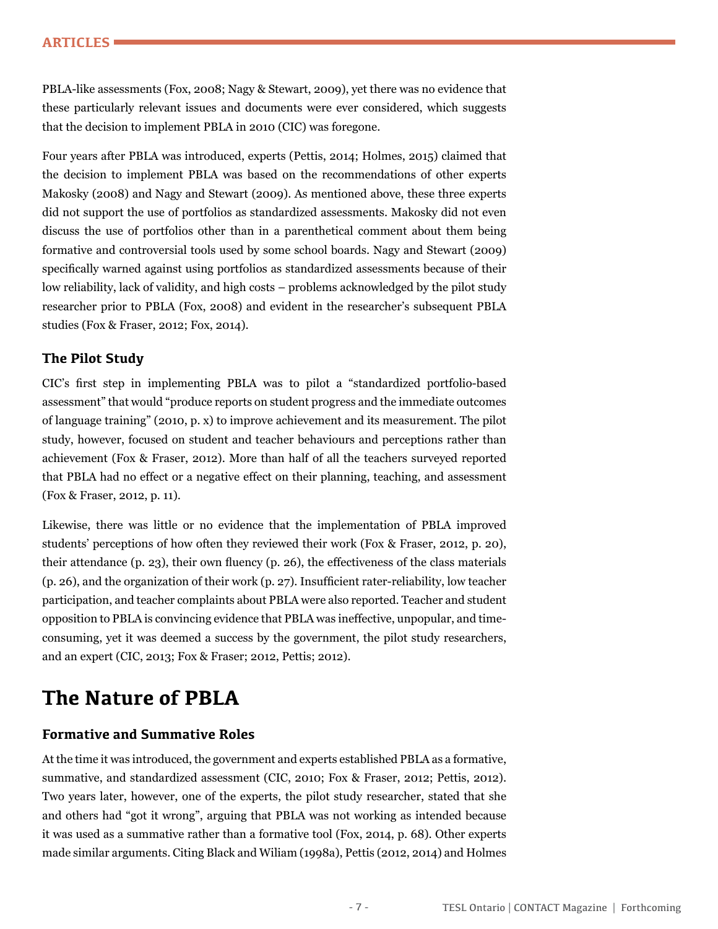#### **ARTICLES**

PBLA-like assessments (Fox, 2008; Nagy & Stewart, 2009), yet there was no evidence that these particularly relevant issues and documents were ever considered, which suggests that the decision to implement PBLA in 2010 (CIC) was foregone.

Four years after PBLA was introduced, experts (Pettis, 2014; Holmes, 2015) claimed that the decision to implement PBLA was based on the recommendations of other experts Makosky (2008) and Nagy and Stewart (2009). As mentioned above, these three experts did not support the use of portfolios as standardized assessments. Makosky did not even discuss the use of portfolios other than in a parenthetical comment about them being formative and controversial tools used by some school boards. Nagy and Stewart (2009) specifically warned against using portfolios as standardized assessments because of their low reliability, lack of validity, and high costs – problems acknowledged by the pilot study researcher prior to PBLA (Fox, 2008) and evident in the researcher's subsequent PBLA studies (Fox & Fraser, 2012; Fox, 2014).

#### **The Pilot Study**

CIC's first step in implementing PBLA was to pilot a "standardized portfolio-based assessment" that would "produce reports on student progress and the immediate outcomes of language training" (2010, p. x) to improve achievement and its measurement. The pilot study, however, focused on student and teacher behaviours and perceptions rather than achievement (Fox & Fraser, 2012). More than half of all the teachers surveyed reported that PBLA had no effect or a negative effect on their planning, teaching, and assessment (Fox & Fraser, 2012, p. 11).

Likewise, there was little or no evidence that the implementation of PBLA improved students' perceptions of how often they reviewed their work (Fox & Fraser, 2012, p. 20), their attendance (p. 23), their own fluency (p. 26), the effectiveness of the class materials (p. 26), and the organization of their work (p. 27). Insufficient rater-reliability, low teacher participation, and teacher complaints about PBLA were also reported. Teacher and student opposition to PBLA is convincing evidence that PBLA was ineffective, unpopular, and timeconsuming, yet it was deemed a success by the government, the pilot study researchers, and an expert (CIC, 2013; Fox & Fraser; 2012, Pettis; 2012).

# **The Nature of PBLA**

#### **Formative and Summative Roles**

At the time it was introduced, the government and experts established PBLA as a formative, summative, and standardized assessment (CIC, 2010; Fox & Fraser, 2012; Pettis, 2012). Two years later, however, one of the experts, the pilot study researcher, stated that she and others had "got it wrong", arguing that PBLA was not working as intended because it was used as a summative rather than a formative tool (Fox, 2014, p. 68). Other experts made similar arguments. Citing Black and Wiliam (1998a), Pettis (2012, 2014) and Holmes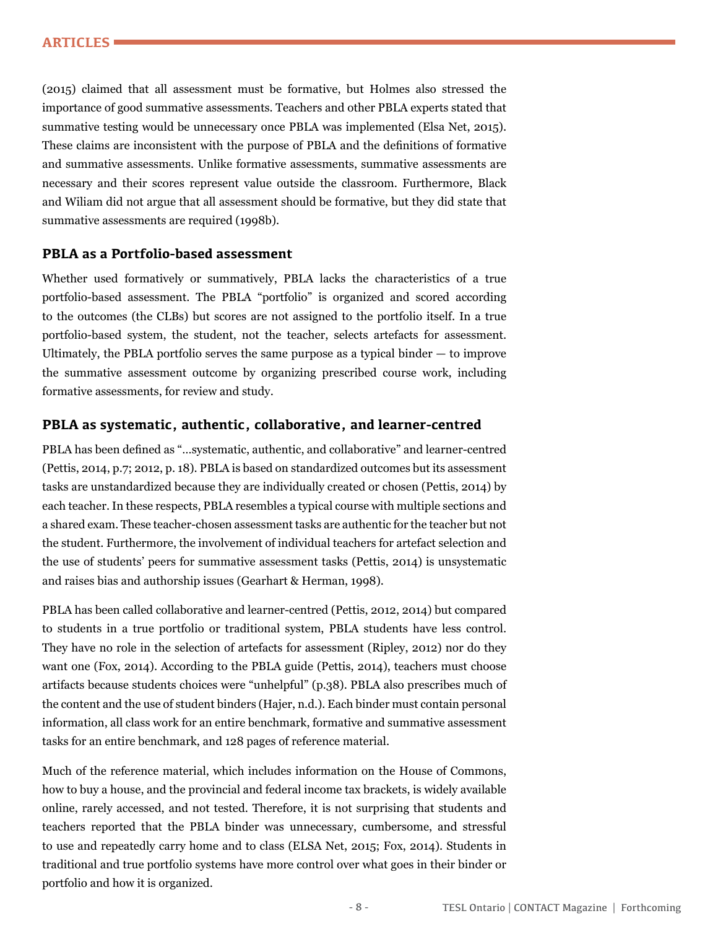(2015) claimed that all assessment must be formative, but Holmes also stressed the importance of good summative assessments. Teachers and other PBLA experts stated that summative testing would be unnecessary once PBLA was implemented (Elsa Net, 2015). These claims are inconsistent with the purpose of PBLA and the definitions of formative and summative assessments. Unlike formative assessments, summative assessments are necessary and their scores represent value outside the classroom. Furthermore, Black and Wiliam did not argue that all assessment should be formative, but they did state that summative assessments are required (1998b).

#### **PBLA as a Portfolio-based assessment**

Whether used formatively or summatively, PBLA lacks the characteristics of a true portfolio-based assessment. The PBLA "portfolio" is organized and scored according to the outcomes (the CLBs) but scores are not assigned to the portfolio itself. In a true portfolio-based system, the student, not the teacher, selects artefacts for assessment. Ultimately, the PBLA portfolio serves the same purpose as a typical binder — to improve the summative assessment outcome by organizing prescribed course work, including formative assessments, for review and study.

#### **PBLA as systematic, authentic, collaborative, and learner-centred**

PBLA has been defined as "…systematic, authentic, and collaborative" and learner-centred (Pettis, 2014, p.7; 2012, p. 18). PBLA is based on standardized outcomes but its assessment tasks are unstandardized because they are individually created or chosen (Pettis, 2014) by each teacher. In these respects, PBLA resembles a typical course with multiple sections and a shared exam. These teacher-chosen assessment tasks are authentic for the teacher but not the student. Furthermore, the involvement of individual teachers for artefact selection and the use of students' peers for summative assessment tasks (Pettis, 2014) is unsystematic and raises bias and authorship issues (Gearhart & Herman, 1998).

PBLA has been called collaborative and learner-centred (Pettis, 2012, 2014) but compared to students in a true portfolio or traditional system, PBLA students have less control. They have no role in the selection of artefacts for assessment (Ripley, 2012) nor do they want one (Fox, 2014). According to the PBLA guide (Pettis, 2014), teachers must choose artifacts because students choices were "unhelpful" (p.38). PBLA also prescribes much of the content and the use of student binders (Hajer, n.d.). Each binder must contain personal information, all class work for an entire benchmark, formative and summative assessment tasks for an entire benchmark, and 128 pages of reference material.

Much of the reference material, which includes information on the House of Commons, how to buy a house, and the provincial and federal income tax brackets, is widely available online, rarely accessed, and not tested. Therefore, it is not surprising that students and teachers reported that the PBLA binder was unnecessary, cumbersome, and stressful to use and repeatedly carry home and to class (ELSA Net, 2015; Fox, 2014). Students in traditional and true portfolio systems have more control over what goes in their binder or portfolio and how it is organized.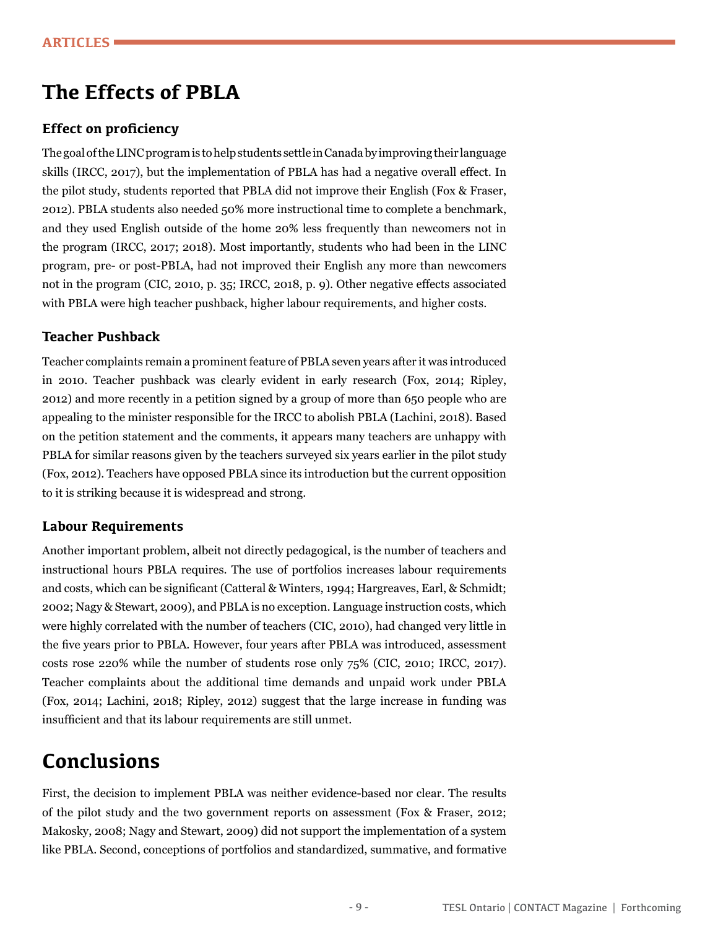# **The Effects of PBLA**

#### **Effect on proficiency**

The goal of the LINC program is to help students settle in Canada by improving their language skills (IRCC, 2017), but the implementation of PBLA has had a negative overall effect. In the pilot study, students reported that PBLA did not improve their English (Fox & Fraser, 2012). PBLA students also needed 50% more instructional time to complete a benchmark, and they used English outside of the home 20% less frequently than newcomers not in the program (IRCC, 2017; 2018). Most importantly, students who had been in the LINC program, pre- or post-PBLA, had not improved their English any more than newcomers not in the program (CIC, 2010, p. 35; IRCC, 2018, p. 9). Other negative effects associated with PBLA were high teacher pushback, higher labour requirements, and higher costs.

#### **Teacher Pushback**

Teacher complaints remain a prominent feature of PBLA seven years after it was introduced in 2010. Teacher pushback was clearly evident in early research (Fox, 2014; Ripley, 2012) and more recently in a petition signed by a group of more than 650 people who are appealing to the minister responsible for the IRCC to abolish PBLA (Lachini, 2018). Based on the petition statement and the comments, it appears many teachers are unhappy with PBLA for similar reasons given by the teachers surveyed six years earlier in the pilot study (Fox, 2012). Teachers have opposed PBLA since its introduction but the current opposition to it is striking because it is widespread and strong.

#### **Labour Requirements**

Another important problem, albeit not directly pedagogical, is the number of teachers and instructional hours PBLA requires. The use of portfolios increases labour requirements and costs, which can be significant (Catteral & Winters, 1994; Hargreaves, Earl, & Schmidt; 2002; Nagy & Stewart, 2009), and PBLA is no exception. Language instruction costs, which were highly correlated with the number of teachers (CIC, 2010), had changed very little in the five years prior to PBLA. However, four years after PBLA was introduced, assessment costs rose 220% while the number of students rose only 75% (CIC, 2010; IRCC, 2017). Teacher complaints about the additional time demands and unpaid work under PBLA (Fox, 2014; Lachini, 2018; Ripley, 2012) suggest that the large increase in funding was insufficient and that its labour requirements are still unmet.

## **Conclusions**

First, the decision to implement PBLA was neither evidence-based nor clear. The results of the pilot study and the two government reports on assessment (Fox & Fraser, 2012; Makosky, 2008; Nagy and Stewart, 2009) did not support the implementation of a system like PBLA. Second, conceptions of portfolios and standardized, summative, and formative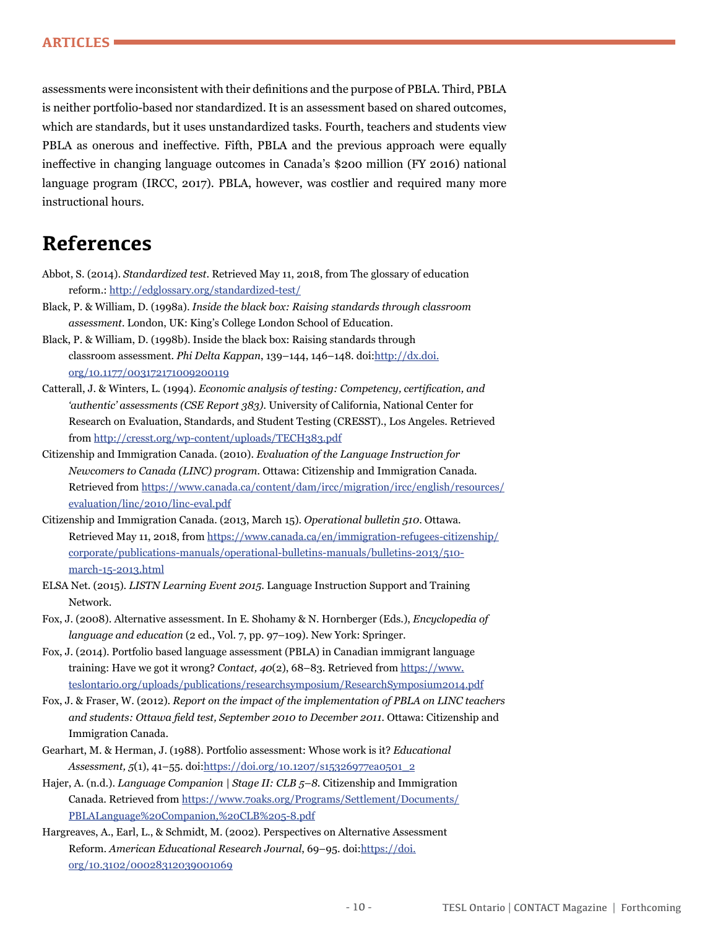assessments were inconsistent with their definitions and the purpose of PBLA. Third, PBLA is neither portfolio-based nor standardized. It is an assessment based on shared outcomes, which are standards, but it uses unstandardized tasks. Fourth, teachers and students view PBLA as onerous and ineffective. Fifth, PBLA and the previous approach were equally ineffective in changing language outcomes in Canada's \$200 million (FY 2016) national language program (IRCC, 2017). PBLA, however, was costlier and required many more instructional hours.

## **References**

- Abbot, S. (2014). *Standardized test*. Retrieved May 11, 2018, from The glossary of education reform.:<http://edglossary.org/standardized-test/>
- Black, P. & William, D. (1998a). *Inside the black box: Raising standards through classroom assessment.* London, UK: King's College London School of Education.
- Black, P. & William, D. (1998b). Inside the black box: Raising standards through classroom assessment. *Phi Delta Kappan*, 139–144, 146–148. doi:[http://dx.doi.](http://dx.doi.org/10.1177/003172171009200119) [org/10.1177/003172171009200119](http://dx.doi.org/10.1177/003172171009200119)
- Catterall, J. & Winters, L. (1994). *Economic analysis of testing: Competency, certification, and 'authentic' assessments (CSE Report 383).* University of California, National Center for Research on Evaluation, Standards, and Student Testing (CRESST)., Los Angeles. Retrieved from<http://cresst.org/wp-content/uploads/TECH383.pdf>
- Citizenship and Immigration Canada. (2010). *Evaluation of the Language Instruction for Newcomers to Canada (LINC) program.* Ottawa: Citizenship and Immigration Canada. Retrieved from [https://www.canada.ca/content/dam/ircc/migration/ircc/english/resources/](https://www.canada.ca/content/dam/ircc/migration/ircc/english/resources/evaluation/linc/2010/linc-eval.pdf) [evaluation/linc/2010/linc-eval.pdf](https://www.canada.ca/content/dam/ircc/migration/ircc/english/resources/evaluation/linc/2010/linc-eval.pdf)
- Citizenship and Immigration Canada. (2013, March 15). *Operational bulletin 510*. Ottawa. Retrieved May 11, 2018, from [https://www.canada.ca/en/immigration-refugees-citizenship/](https://www.canada.ca/en/immigration-refugees-citizenship/corporate/publications-manuals/operational-bulletins-manuals/bulletins-2013/510-march-15-2013.html) [corporate/publications-manuals/operational-bulletins-manuals/bulletins-2013/510](https://www.canada.ca/en/immigration-refugees-citizenship/corporate/publications-manuals/operational-bulletins-manuals/bulletins-2013/510-march-15-2013.html) [march-15-2013.html](https://www.canada.ca/en/immigration-refugees-citizenship/corporate/publications-manuals/operational-bulletins-manuals/bulletins-2013/510-march-15-2013.html)
- ELSA Net. (2015). *LISTN Learning Event 2015*. Language Instruction Support and Training Network.
- Fox, J. (2008). Alternative assessment. In E. Shohamy & N. Hornberger (Eds.), *Encyclopedia of language and education* (2 ed., Vol. 7, pp. 97–109). New York: Springer.
- Fox, J. (2014). Portfolio based language assessment (PBLA) in Canadian immigrant language training: Have we got it wrong? *Contact, 40*(2), 68–83. Retrieved from [https://www.](https://www.teslontario.org/uploads/publications/researchsymposium/ResearchSymposium2014.pdf) [teslontario.org/uploads/publications/researchsymposium/ResearchSymposium2014.pdf](https://www.teslontario.org/uploads/publications/researchsymposium/ResearchSymposium2014.pdf)
- Fox, J. & Fraser, W. (2012). *Report on the impact of the implementation of PBLA on LINC teachers and students: Ottawa field test, September 2010 to December 2011.* Ottawa: Citizenship and Immigration Canada.
- Gearhart, M. & Herman, J. (1988). Portfolio assessment: Whose work is it? *Educational Assessment, 5*(1), 41–55. doi:[https://doi.org/10.1207/s15326977ea0501\\_2](https://doi.org/10.1207/s15326977ea0501_2)
- Hajer, A. (n.d.). *Language Companion | Stage II: CLB 5–8.* Citizenship and Immigration Canada. Retrieved from [https://www.7oaks.org/Programs/Settlement/Documents/](https://www.7oaks.org/Programs/Settlement/Documents/PBLALanguage%20Companion,%20CLB%205-8.pdf) [PBLALanguage%20Companion,%20CLB%205-8.pdf](https://www.7oaks.org/Programs/Settlement/Documents/PBLALanguage%20Companion,%20CLB%205-8.pdf)
- Hargreaves, A., Earl, L., & Schmidt, M. (2002). Perspectives on Alternative Assessment Reform. *American Educational Research Journal*, 69–95. doi:[https://doi.](https://doi.org/10.3102/00028312039001069) [org/10.3102/00028312039001069](https://doi.org/10.3102/00028312039001069)